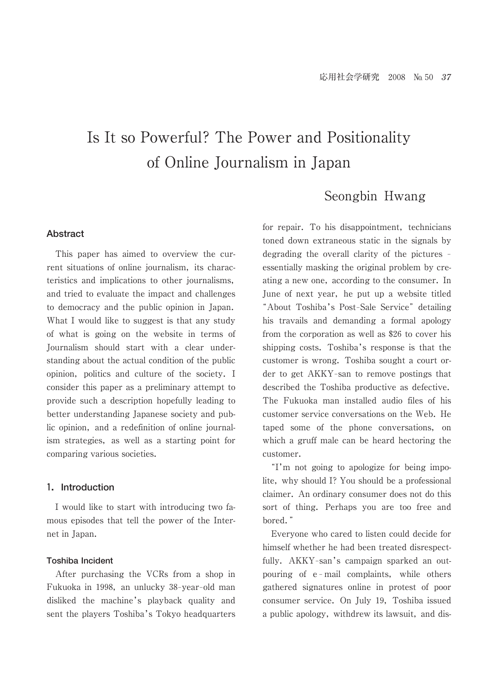# Is It so Powerful? The Power and Positionality of Online Journalism in Japan

# Seongbin Hwang

## **Abstract**

 This paper has aimed to overview the current situations of online journalism, its characteristics and implications to other journalisms, and tried to evaluate the impact and challenges to democracy and the public opinion in Japan. What I would like to suggest is that any study of what is going on the website in terms of Journalism should start with a clear understanding about the actual condition of the public opinion, politics and culture of the society. I consider this paper as a preliminary attempt to provide such a description hopefully leading to better understanding Japanese society and public opinion, and a redefinition of online journalism strategies, as well as a starting point for comparing various societies.

## **1.Introduction**

 I would like to start with introducing two famous episodes that tell the power of the Internet in Japan.

## **Toshiba Incident**

 After purchasing the VCRs from a shop in Fukuoka in 1998, an unlucky 38-year-old man disliked the machine's playback quality and sent the players Toshiba's Tokyo headquarters for repair. To his disappointment, technicians toned down extraneous static in the signals by degrading the overall clarity of the pictures  $$ essentially masking the original problem by creating a new one, according to the consumer. In June of next year, he put up a website titled "About Toshiba's Post-Sale Service" detailing his travails and demanding a formal apology from the corporation as well as \$26 to cover his shipping costs. Toshiba's response is that the customer is wrong. Toshiba sought a court order to get AKKY-san to remove postings that described the Toshiba productive as defective. The Fukuoka man installed audio files of his customer service conversations on the Web. He taped some of the phone conversations, on which a gruff male can be heard hectoring the customer.

"I'm not going to apologize for being impolite, why should I? You should be a professional claimer. An ordinary consumer does not do this sort of thing. Perhaps you are too free and bored."

 Everyone who cared to listen could decide for himself whether he had been treated disrespectfully. AKKY-san's campaign sparked an outpouring of e-mail complaints, while others gathered signatures online in protest of poor consumer service. On July 19, Toshiba issued a public apology, withdrew its lawsuit, and dis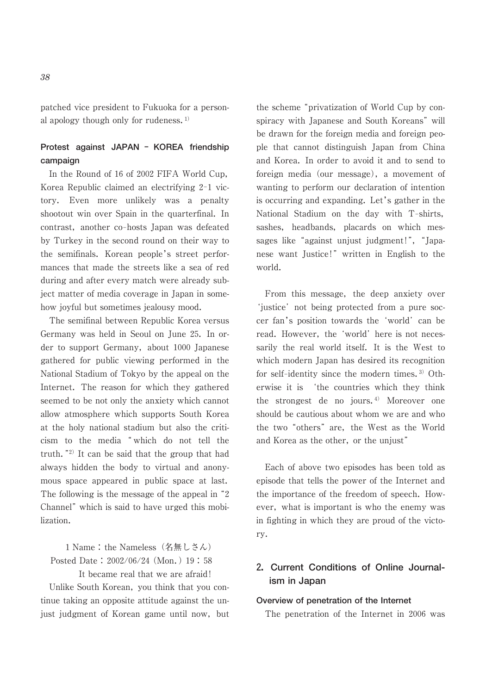patched vice president to Fukuoka for a personal apology though only for rudeness.<sup>1)</sup>

# **Protest against JAPAN - KOREA friendship campaign**

 In the Round of 16 of 2002 FIFA World Cup, Korea Republic claimed an electrifying 2-1 victory. Even more unlikely was a penalty shootout win over Spain in the quarterfinal. In contrast, another co-hosts Japan was defeated by Turkey in the second round on their way to the semifinals. Korean people's street performances that made the streets like a sea of red during and after every match were already subject matter of media coverage in Japan in somehow joyful but sometimes jealousy mood.

 The semifinal between Republic Korea versus Germany was held in Seoul on June 25. In order to support Germany, about 1000 Japanese gathered for public viewing performed in the National Stadium of Tokyo by the appeal on the Internet. The reason for which they gathered seemed to be not only the anxiety which cannot allow atmosphere which supports South Korea at the holy national stadium but also the criticism to the media "which do not tell the truth. $"^{2)}$  It can be said that the group that had always hidden the body to virtual and anonymous space appeared in public space at last. The following is the message of the appeal in  $\degree$ 2 Channel" which is said to have urged this mobilization.

1 Name : the Nameless(名無しさん) Posted Date : 2002/06/24 (Mon.) 19 : 58 It became real that we are afraid!

 Unlike South Korean, you think that you continue taking an opposite attitude against the unjust judgment of Korean game until now, but the scheme "privatization of World Cup by conspiracy with Japanese and South Koreans" will be drawn for the foreign media and foreign people that cannot distinguish Japan from China and Korea. In order to avoid it and to send to foreign media (our message), a movement of wanting to perform our declaration of intention is occurring and expanding. Let's gather in the National Stadium on the day with T-shirts, sashes, headbands, placards on which messages like "against unjust judgment!", "Japanese want Justice!" written in English to the world.

 From this message, the deep anxiety over 'iustice' not being protected from a pure soccer fan's position towards the 'world' can be read. However, the 'world' here is not necessarily the real world itself. It is the West to which modern Japan has desired its recognition for self-identity since the modern times.<sup>3)</sup> Otherwise it is 'the countries which they think the strongest de no jours.<sup>4)</sup> Moreover one should be cautious about whom we are and who the two "others" are, the West as the World and Korea as the other, or the unjust"

 Each of above two episodes has been told as episode that tells the power of the Internet and the importance of the freedom of speech. However, what is important is who the enemy was in fighting in which they are proud of the victory.

# **2.Current Conditions of Online Journalism in Japan**

## **Overview of penetration of the Internet**

The penetration of the Internet in 2006 was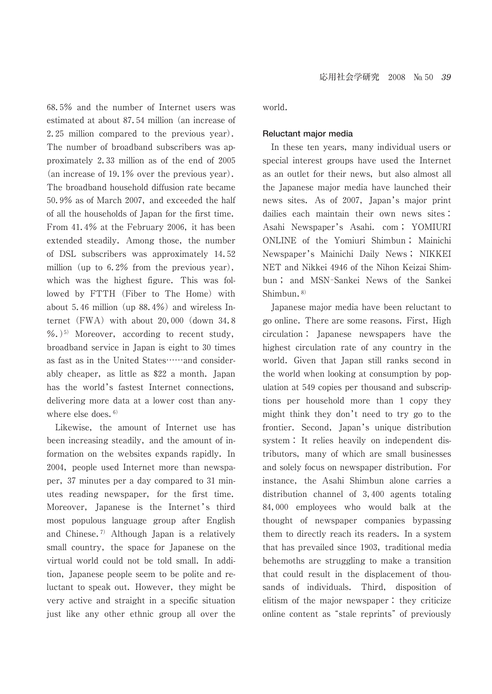68.5% and the number of Internet users was estimated at about 87.54 million (an increase of 2.25 million compared to the previous year). The number of broadband subscribers was approximately 2.33 million as of the end of 2005 (an increase of 19.1% over the previous year). The broadband household diffusion rate became 50.9% as of March 2007, and exceeded the half of all the households of Japan for the first time. From 41.4% at the February 2006, it has been extended steadily. Among those, the number of DSL subscribers was approximately 14.52 million (up to 6.2% from the previous year), which was the highest figure. This was followed by FTTH (Fiber to The Home) with about 5.46 million (up 88.4%) and wireless Internet (FWA) with about 20,000 (down 34.8  $%$ .)<sup>5)</sup> Moreover, according to recent study, broadband service in Japan is eight to 30 times as fast as in the United States……and considerably cheaper, as little as \$22 a month. Japan has the world's fastest Internet connections, delivering more data at a lower cost than anywhere else does.  $6$ )

 Likewise, the amount of Internet use has been increasing steadily, and the amount of information on the websites expands rapidly. In 2004, people used Internet more than newspaper, 37 minutes per a day compared to 31 minutes reading newspaper, for the first time. Moreover, Japanese is the Internet's third most populous language group after English and Chinese.7) Although Japan is a relatively small country, the space for Japanese on the virtual world could not be told small. In addition, Japanese people seem to be polite and reluctant to speak out. However, they might be very active and straight in a specific situation just like any other ethnic group all over the world.

#### **Reluctant major media**

 In these ten years, many individual users or special interest groups have used the Internet as an outlet for their news, but also almost all the Japanese major media have launched their news sites. As of 2007, Japan's major print dailies each maintain their own news sites : Asahi Newspaper's Asahi. com ; YOMIURI ONLINE of the Yomiuri Shimbun ; Mainichi Newspaper's Mainichi Daily News ; NIKKEI NET and Nikkei 4946 of the Nihon Keizai Shimbun; and MSN-Sankei News of the Sankei Shimbun.<sup>8)</sup>

 Japanese major media have been reluctant to go online. There are some reasons. First, High circulation : Japanese newspapers have the highest circulation rate of any country in the world. Given that Japan still ranks second in the world when looking at consumption by population at 549 copies per thousand and subscriptions per household more than 1 copy they might think they don't need to try go to the frontier. Second, Japan's unique distribution system : It relies heavily on independent distributors, many of which are small businesses and solely focus on newspaper distribution. For instance, the Asahi Shimbun alone carries a distribution channel of 3,400 agents totaling 84,000 employees who would balk at the thought of newspaper companies bypassing them to directly reach its readers. In a system that has prevailed since 1903, traditional media behemoths are struggling to make a transition that could result in the displacement of thousands of individuals. Third, disposition of elitism of the major newspaper : they criticize online content as "stale reprints" of previously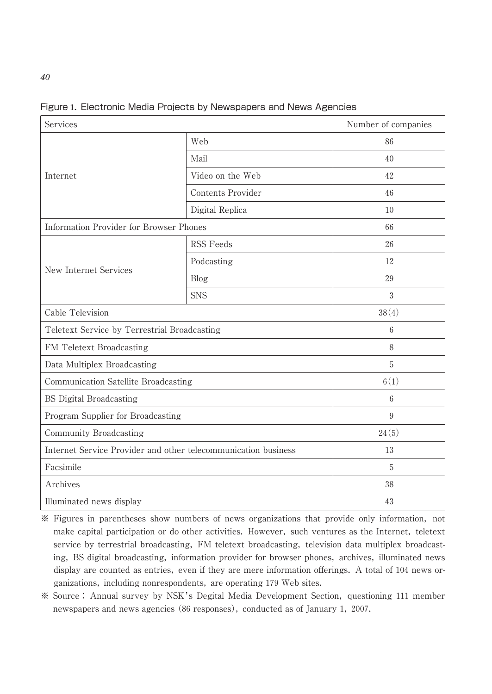| Services                                                       | Number of companies |      |  |  |
|----------------------------------------------------------------|---------------------|------|--|--|
| Internet                                                       | Web                 | 86   |  |  |
|                                                                | Mail                | 40   |  |  |
|                                                                | Video on the Web    | 42   |  |  |
|                                                                | Contents Provider   | 46   |  |  |
|                                                                | Digital Replica     | 10   |  |  |
| Information Provider for Browser Phones                        | 66                  |      |  |  |
| New Internet Services                                          | <b>RSS Feeds</b>    | 26   |  |  |
|                                                                | Podcasting          | 12   |  |  |
|                                                                | Blog                | 29   |  |  |
|                                                                | <b>SNS</b>          | 3    |  |  |
| Cable Television                                               | 38(4)               |      |  |  |
| Teletext Service by Terrestrial Broadcasting                   | 6                   |      |  |  |
| FM Teletext Broadcasting                                       | 8                   |      |  |  |
| Data Multiplex Broadcasting                                    | 5                   |      |  |  |
| Communication Satellite Broadcasting                           |                     | 6(1) |  |  |
| <b>BS</b> Digital Broadcasting                                 |                     | 6    |  |  |
| Program Supplier for Broadcasting                              |                     | 9    |  |  |
| Community Broadcasting                                         | 24(5)               |      |  |  |
| Internet Service Provider and other telecommunication business |                     | 13   |  |  |
| Facsimile                                                      |                     | 5    |  |  |
| Archives                                                       | 38                  |      |  |  |
| Illuminated news display                                       | 43                  |      |  |  |

# Figure **1.** Electronic Media Projects by Newspapers and News Agencies

※ Figures in parentheses show numbers of news organizations that provide only information, not make capital participation or do other activities. However, such ventures as the Internet, teletext service by terrestrial broadcasting, FM teletext broadcasting, television data multiplex broadcasting, BS digital broadcasting, information provider for browser phones, archives, illuminated news display are counted as entries, even if they are mere information offerings. A total of 104 news organizations, including nonrespondents, are operating 179 Web sites.

※ Source : Annual survey by NSK's Degital Media Development Section, questioning 111 member newspapers and news agencies (86 responses), conducted as of January 1, 2007.

## *40*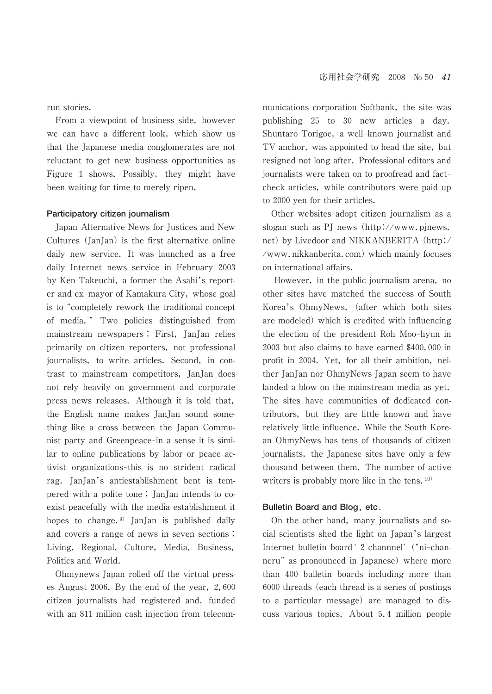run stories.

 From a viewpoint of business side, however we can have a different look, which show us that the Japanese media conglomerates are not reluctant to get new business opportunities as Figure 1 shows. Possibly, they might have been waiting for time to merely ripen.

### **Participatory citizen journalism**

 Japan Alternative News for Justices and New Cultures (JanJan) is the first alternative online daily new service. It was launched as a free daily Internet news service in February 2003 by Ken Takeuchi, a former the Asahi's reporter and ex-mayor of Kamakura City, whose goal is to "completely rework the traditional concept of media. ─ Two policies distinguished from mainstream newspapers : First, JanJan relies primarily on citizen reporters, not professional journalists, to write articles. Second, in contrast to mainstream competitors, JanJan does not rely heavily on government and corporate press news releases. Although it is told that, the English name makes JanJan sound something like a cross between the Japan Communist party and Greenpeace-in a sense it is similar to online publications by labor or peace activist organizations-this is no strident radical rag. JanJan's antiestablishment bent is tempered with a polite tone ; JanJan intends to coexist peacefully with the media establishment it hopes to change.<sup>9)</sup> JanJan is published daily and covers a range of news in seven sections : Living, Regional, Culture, Media, Business, Politics and World.

 Ohmynews Japan rolled off the virtual presses August 2006. By the end of the year, 2,600 citizen journalists had registered and, funded with an \$11 million cash injection from telecommunications corporation Softbank, the site was publishing 25 to 30 new articles a day. Shuntaro Torigoe, a well-known journalist and TV anchor, was appointed to head the site, but resigned not long after. Professional editors and journalists were taken on to proofread and factcheck articles, while contributors were paid up to 2000 yen for their articles.

 Other websites adopt citizen journalism as a slogan such as PJ news (http://www.pjnews. net) by Livedoor and NIKKANBERITA (http:/ /www.nikkanberita.com) which mainly focuses on international affairs.

 However, in the public journalism arena, no other sites have matched the success of South Korea's OhmyNews, (after which both sites are modeled) which is credited with influencing the election of the president Roh Moo-hyun in 2003 but also claims to have earned \$400,000 in profit in 2004. Yet, for all their ambition, neither JanJan nor OhmyNews Japan seem to have landed a blow on the mainstream media as yet. The sites have communities of dedicated contributors, but they are little known and have relatively little influence. While the South Korean OhmyNews has tens of thousands of citizen journalists, the Japanese sites have only a few thousand between them. The number of active writers is probably more like in the tens.  $10$ )

## **Bulletin Board and Blog, etc.**

 On the other hand, many journalists and social scientists shed the light on Japan's largest Internet bulletin board ' 2 channnel' ("ni-channeru" as pronounced in Japanese) where more than 400 bulletin boards including more than 6000 threads (each thread is a series of postings to a particular message) are managed to discuss various topics. About 5.4 million people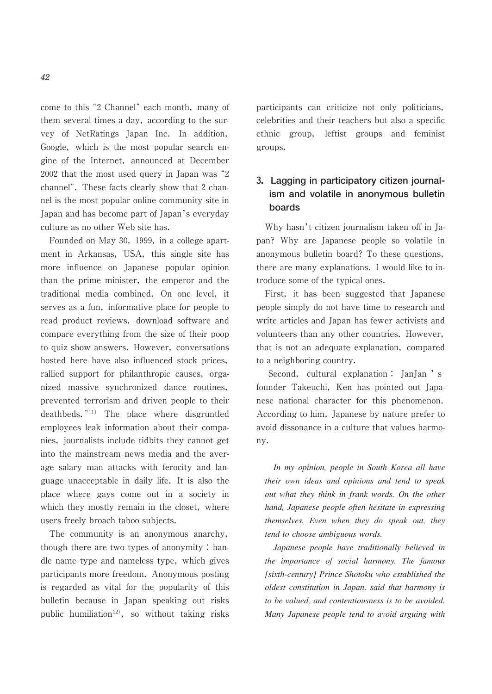come to this "2 Channel" each month, many of them several times a day, according to the survey of NetRatings Japan Inc. In addition, Google, which is the most popular search engine of the Internet, announced at December  $2002$  that the most used query in Japan was  $^{\circ}2$ channel". These facts clearly show that 2 channel is the most popular online community site in Japan and has become part of Japan's everyday culture as no other Web site has.

 Founded on May 30, 1999, in a college apartment in Arkansas, USA, this single site has more influence on Japanese popular opinion than the prime minister, the emperor and the traditional media combined. On one level, it serves as a fun, informative place for people to read product reviews, download software and compare everything from the size of their poop to quiz show answers. However, conversations hosted here have also influenced stock prices, rallied support for philanthropic causes, organized massive synchronized dance routines, prevented terrorism and driven people to their deathbeds."<sup>11)</sup> The place where disgruntled employees leak information about their companies, journalists include tidbits they cannot get into the mainstream news media and the average salary man attacks with ferocity and language unacceptable in daily life. It is also the place where gays come out in a society in which they mostly remain in the closet, where users freely broach taboo subjects.

 The community is an anonymous anarchy, though there are two types of anonymity : handle name type and nameless type, which gives participants more freedom. Anonymous posting is regarded as vital for the popularity of this bulletin because in Japan speaking out risks public humiliation<sup>12)</sup>, so without taking risks

participants can criticize not only politicians, celebrities and their teachers but also a specific ethnic group, leftist groups and feminist groups.

# **3.Lagging in participatory citizen journalism and volatile in anonymous bulletin boards**

 Why hasn't citizen journalism taken off in Japan? Why are Japanese people so volatile in anonymous bulletin board? To these questions, there are many explanations. I would like to introduce some of the typical ones.

 First, it has been suggested that Japanese people simply do not have time to research and write articles and Japan has fewer activists and volunteers than any other countries. However, that is not an adequate explanation, compared to a neighboring country.

 Second, cultural explanation : JanJan ' s founder Takeuchi, Ken has pointed out Japanese national character for this phenomenon. According to him, Japanese by nature prefer to avoid dissonance in a culture that values harmony.

*In my opinion, people in South Korea all have their own ideas and opinions and tend to speak out what they think in frank words. On the other hand, Japanese people often hesitate in expressing themselves. Even when they do speak out, they tend to choose ambiguous words.*

*Japanese people have traditionally believed in the importance of social harmony. The famous [sixth-century] Prince Shotoku who established the oldest constitution in Japan, said that harmony is to be valued, and contentiousness is to be avoided. Many Japanese people tend to avoid arguing with*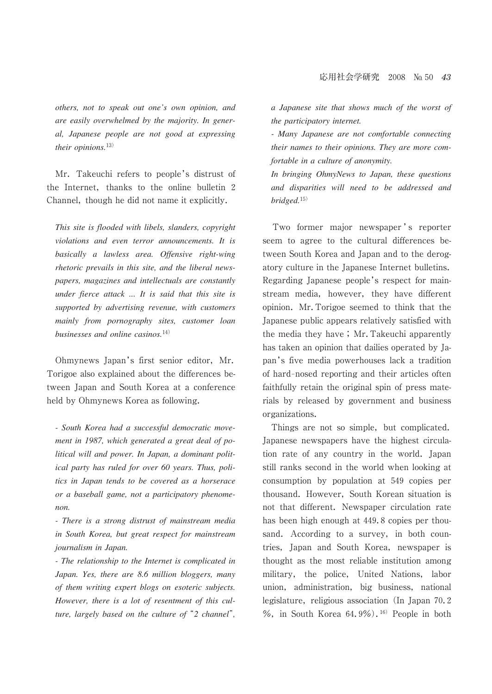*others, not to speak out one's own opinion, and are easily overwhelmed by the majority. In general, Japanese people are not good at expressing their opinions.*13)

 Mr. Takeuchi refers to people's distrust of the Internet, thanks to the online bulletin 2 Channel, though he did not name it explicitly.

*This site is flooded with libels, slanders, copyright violations and even terror announcements. It is basically a lawless area. Offensive right-wing rhetoric prevails in this site, and the liberal newspapers, magazines and intellectuals are constantly under fierce attack ... It is said that this site is supported by advertising revenue, with customers mainly from pornography sites, customer loan businesses and online casinos.*14)

 Ohmynews Japan's first senior editor, Mr. Torigoe also explained about the differences between Japan and South Korea at a conference held by Ohmynews Korea as following.

*- South Korea had a successful democratic movement in 1987, which generated a great deal of political will and power. In Japan, a dominant political party has ruled for over 60 years. Thus, politics in Japan tends to be covered as a horserace or a baseball game, not a participatory phenomenon.*

*- There is a strong distrust of mainstream media in South Korea, but great respect for mainstream journalism in Japan.*

*- The relationship to the Internet is complicated in Japan. Yes, there are 8.6 million bloggers, many of them writing expert blogs on esoteric subjects. However, there is a lot of resentment of this culture, largely based on the culture of* "2 channel", *a Japanese site that shows much of the worst of the participatory internet.*

*- Many Japanese are not comfortable connecting their names to their opinions. They are more comfortable in a culture of anonymity.*

*In bringing OhmyNews to Japan, these questions and disparities will need to be addressed and bridged.*15)

Two former major newspaper's reporter seem to agree to the cultural differences between South Korea and Japan and to the derogatory culture in the Japanese Internet bulletins. Regarding Japanese people's respect for mainstream media, however, they have different opinion. Mr.Torigoe seemed to think that the Japanese public appears relatively satisfied with the media they have ; Mr.Takeuchi apparently has taken an opinion that dailies operated by Japan's five media powerhouses lack a tradition of hard-nosed reporting and their articles often faithfully retain the original spin of press materials by released by government and business organizations.

 Things are not so simple, but complicated. Japanese newspapers have the highest circulation rate of any country in the world. Japan still ranks second in the world when looking at consumption by population at 549 copies per thousand. However, South Korean situation is not that different. Newspaper circulation rate has been high enough at 449.8 copies per thousand. According to a survey, in both countries, Japan and South Korea, newspaper is thought as the most reliable institution among military, the police, United Nations, labor union, administration, big business, national legislature, religious association (In Japan 70.2 %, in South Korea  $64.9\%$ ).<sup>16)</sup> People in both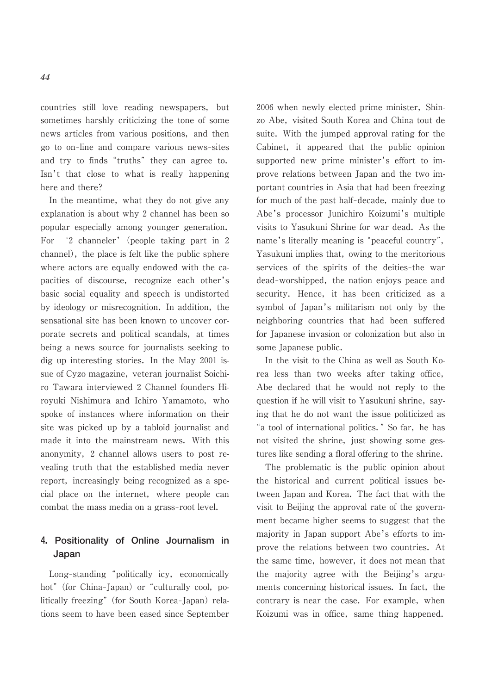countries still love reading newspapers, but sometimes harshly criticizing the tone of some news articles from various positions, and then go to on-line and compare various news-sites and try to finds "truths" they can agree to. Isn't that close to what is really happening here and there?

 In the meantime, what they do not give any explanation is about why 2 channel has been so popular especially among younger generation. For '2 channeler' (people taking part in 2 channel), the place is felt like the public sphere where actors are equally endowed with the capacities of discourse, recognize each other's basic social equality and speech is undistorted by ideology or misrecognition. In addition, the sensational site has been known to uncover corporate secrets and political scandals, at times being a news source for journalists seeking to dig up interesting stories. In the May 2001 issue of Cyzo magazine, veteran journalist Soichiro Tawara interviewed 2 Channel founders Hiroyuki Nishimura and Ichiro Yamamoto, who spoke of instances where information on their site was picked up by a tabloid journalist and made it into the mainstream news. With this anonymity, 2 channel allows users to post revealing truth that the established media never report, increasingly being recognized as a special place on the internet, where people can combat the mass media on a grass-root level.

# **4.Positionality of Online Journalism in Japan**

Long-standing "politically icy, economically hot" (for China-Japan) or "culturally cool, politically freezing" (for South Korea-Japan) relations seem to have been eased since September 2006 when newly elected prime minister, Shinzo Abe, visited South Korea and China tout de suite. With the jumped approval rating for the Cabinet, it appeared that the public opinion supported new prime minister's effort to improve relations between Japan and the two important countries in Asia that had been freezing for much of the past half-decade, mainly due to Abe's processor Junichiro Koizumi's multiple visits to Yasukuni Shrine for war dead. As the name's literally meaning is "peaceful country", Yasukuni implies that, owing to the meritorious services of the spirits of the deities-the war dead-worshipped, the nation enjoys peace and security. Hence, it has been criticized as a symbol of Japan's militarism not only by the neighboring countries that had been suffered for Japanese invasion or colonization but also in some Japanese public.

 In the visit to the China as well as South Korea less than two weeks after taking office, Abe declared that he would not reply to the question if he will visit to Yasukuni shrine, saying that he do not want the issue politicized as "a tool of international politics." So far, he has not visited the shrine, just showing some gestures like sending a floral offering to the shrine.

 The problematic is the public opinion about the historical and current political issues between Japan and Korea. The fact that with the visit to Beijing the approval rate of the government became higher seems to suggest that the majority in Japan support Abe's efforts to improve the relations between two countries. At the same time, however, it does not mean that the majority agree with the Beijing's arguments concerning historical issues. In fact, the contrary is near the case. For example, when Koizumi was in office, same thing happened.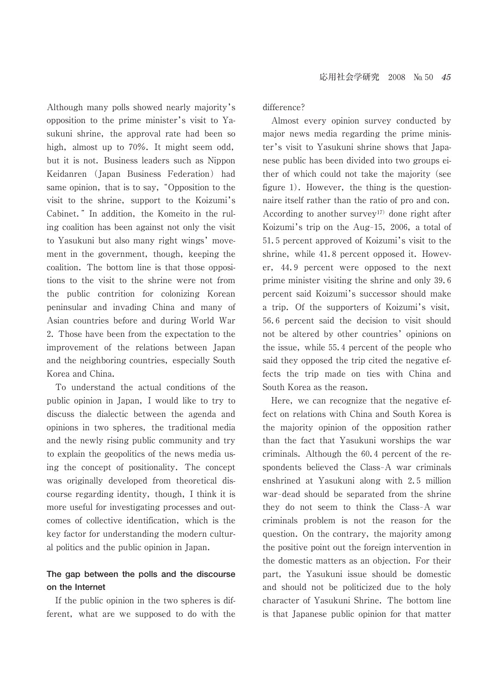Although many polls showed nearly majority's opposition to the prime minister's visit to Yasukuni shrine, the approval rate had been so high, almost up to 70%. It might seem odd, but it is not. Business leaders such as Nippon Keidanren (Japan Business Federation) had same opinion, that is to say, "Opposition to the visit to the shrine, support to the Koizumi's Cabinet.─ In addition, the Komeito in the ruling coalition has been against not only the visit to Yasukuni but also many right wings' movement in the government, though, keeping the coalition. The bottom line is that those oppositions to the visit to the shrine were not from the public contrition for colonizing Korean peninsular and invading China and many of Asian countries before and during World War 2. Those have been from the expectation to the improvement of the relations between Japan and the neighboring countries, especially South Korea and China.

 To understand the actual conditions of the public opinion in Japan, I would like to try to discuss the dialectic between the agenda and opinions in two spheres, the traditional media and the newly rising public community and try to explain the geopolitics of the news media using the concept of positionality. The concept was originally developed from theoretical discourse regarding identity, though, I think it is more useful for investigating processes and outcomes of collective identification, which is the key factor for understanding the modern cultural politics and the public opinion in Japan.

# **The gap between the polls and the discourse on the Internet**

 If the public opinion in the two spheres is different, what are we supposed to do with the difference?

 Almost every opinion survey conducted by major news media regarding the prime minister's visit to Yasukuni shrine shows that Japanese public has been divided into two groups either of which could not take the majority (see figure 1). However, the thing is the questionnaire itself rather than the ratio of pro and con. According to another survey<sup>17)</sup> done right after Koizumi's trip on the Aug-15, 2006, a total of 51.5 percent approved of Koizumi's visit to the shrine, while 41.8 percent opposed it. However, 44.9 percent were opposed to the next prime minister visiting the shrine and only 39.6 percent said Koizumi's successor should make a trip. Of the supporters of Koizumi's visit, 56.6 percent said the decision to visit should not be altered by other countries' opinions on the issue, while 55.4 percent of the people who said they opposed the trip cited the negative effects the trip made on ties with China and South Korea as the reason.

 Here, we can recognize that the negative effect on relations with China and South Korea is the majority opinion of the opposition rather than the fact that Yasukuni worships the war criminals. Although the 60.4 percent of the respondents believed the Class-A war criminals enshrined at Yasukuni along with 2.5 million war-dead should be separated from the shrine they do not seem to think the Class-A war criminals problem is not the reason for the question. On the contrary, the majority among the positive point out the foreign intervention in the domestic matters as an objection. For their part, the Yasukuni issue should be domestic and should not be politicized due to the holy character of Yasukuni Shrine. The bottom line is that Japanese public opinion for that matter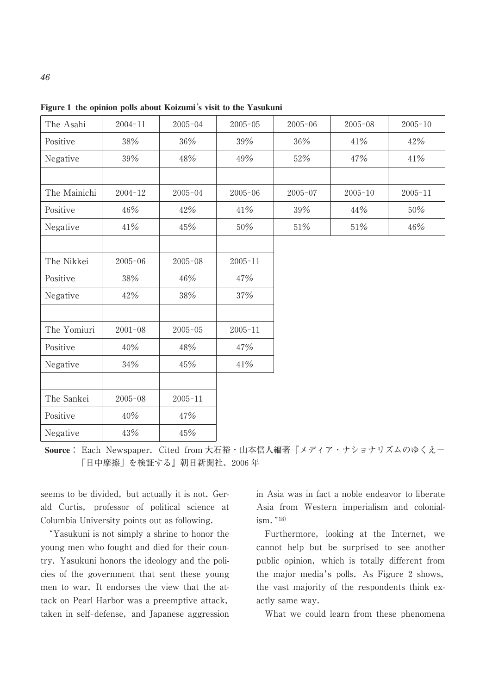| The Asahi    | $2004 - 11$ | $2005 - 04$ | $2005 - 05$ | $2005 - 06$ | $2005 - 08$ | $2005 - 10$ |  |
|--------------|-------------|-------------|-------------|-------------|-------------|-------------|--|
| Positive     | 38%         | 36%         | 39%         | 36%         | 41%         | 42%         |  |
| Negative     | 39%         | 48%         | 49%         | 52%         | 47%         | 41%         |  |
|              |             |             |             |             |             |             |  |
| The Mainichi | $2004 - 12$ | $2005 - 04$ | $2005 - 06$ | $2005 - 07$ | $2005 - 10$ | $2005 - 11$ |  |
| Positive     | 46%         | 42%         | 41%         | 39%         | 44%         | 50%         |  |
| Negative     | 41%         | 45%         | $50\%$      | $51\%$      | 51%         | $46\%$      |  |
|              |             |             |             |             |             |             |  |
| The Nikkei   | $2005 - 06$ | $2005 - 08$ | $2005 - 11$ |             |             |             |  |
| Positive     | 38%         | 46%         | 47%         |             |             |             |  |
| Negative     | 42%         | $38\%$      | 37%         |             |             |             |  |
|              |             |             |             |             |             |             |  |
| The Yomiuri  | $2001 - 08$ | $2005 - 05$ | $2005 - 11$ |             |             |             |  |
| Positive     | 40%         | 48%         | 47%         |             |             |             |  |
| Negative     | 34%         | 45%         | 41%         |             |             |             |  |
|              |             |             |             |             |             |             |  |
| The Sankei   | $2005 - 08$ | $2005 - 11$ |             |             |             |             |  |
| Positive     | 40%         | 47%         |             |             |             |             |  |
| Negative     | 43%         | 45%         |             |             |             |             |  |
|              |             |             |             |             |             |             |  |

**Figure 1 the opinion polls about Koizumi**'**s visit to the Yasukuni**

**Source** : Each Newspaper. Cited from 大石裕・山本信人編著『メディア・ナショナリズムのゆくえЁ 「日中摩擦」を検証する』朝日新聞社、2006 年

seems to be divided, but actually it is not. Gerald Curtis, professor of political science at Columbia University points out as following.

"Yasukuni is not simply a shrine to honor the young men who fought and died for their country. Yasukuni honors the ideology and the policies of the government that sent these young men to war. It endorses the view that the attack on Pearl Harbor was a preemptive attack, taken in self-defense, and Japanese aggression

in Asia was in fact a noble endeavor to liberate Asia from Western imperialism and colonial $ism.$ "<sup>18)</sup>

 Furthermore, looking at the Internet, we cannot help but be surprised to see another public opinion, which is totally different from the major media's polls. As Figure 2 shows, the vast majority of the respondents think exactly same way.

What we could learn from these phenomena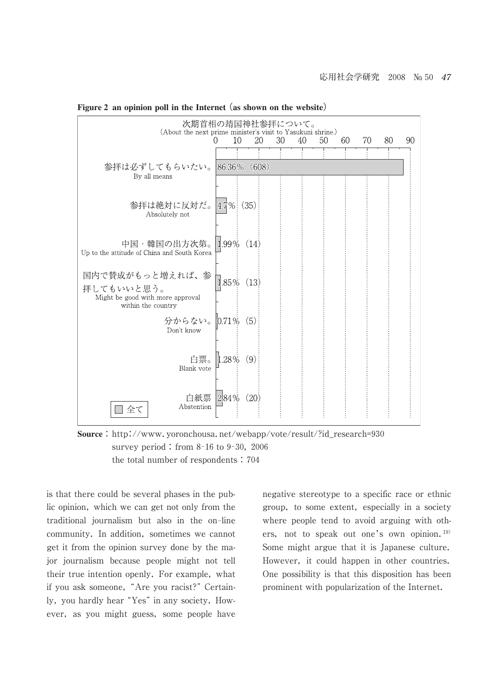| 次期首相の靖国神社参拝について。<br>(About the next prime minister's visit to Yasukuni shrine.) |               |      |      |    |    |    |    |    |    |    |
|---------------------------------------------------------------------------------|---------------|------|------|----|----|----|----|----|----|----|
|                                                                                 | $^{(1)}$      | 10   | 20   | 30 | 40 | 50 | 60 | 70 | 80 | 90 |
|                                                                                 |               |      |      |    |    |    |    |    |    |    |
| 参拝は必ずしてもらいたい。<br>By all means                                                   | 86.36% (608)  |      |      |    |    |    |    |    |    |    |
|                                                                                 |               |      |      |    |    |    |    |    |    |    |
| 参拝は絶対に反対だ。<br>Absolutely not                                                    | $4.7\%$       | (35) |      |    |    |    |    |    |    |    |
|                                                                                 | $1.99\%$ (14) |      |      |    |    |    |    |    |    |    |
| 中国・韓国の出方次第。<br>Up to the attitude of China and South Korea                      |               |      |      |    |    |    |    |    |    |    |
| 国内で賛成がもっと増えれば、参                                                                 | 1.85% (13)    |      |      |    |    |    |    |    |    |    |
| 拝してもいいと思う。<br>Might be good with more approval<br>within the country            |               |      |      |    |    |    |    |    |    |    |
| 分からない。 0.71% (5)<br>Don't know                                                  |               |      |      |    |    |    |    |    |    |    |
|                                                                                 |               |      |      |    |    |    |    |    |    |    |
| 白票。<br>Blank vote                                                               | $1.28\%$ (9)  |      |      |    |    |    |    |    |    |    |
|                                                                                 |               |      |      |    |    |    |    |    |    |    |
| 白紙票<br>Abstention<br>全て                                                         | $2.84\%$      |      | (20) |    |    |    |    |    |    |    |
|                                                                                 |               |      |      |    |    |    |    |    |    |    |

**Figure 2 an opinion poll in the Internet** (**as shown on the website**)

**Source**: http://www.yoronchousa.net/webapp/vote/result/?id\_research=930 survey period : from  $8-16$  to  $9-30$ , 2006 the total number of respondents : 704

is that there could be several phases in the public opinion, which we can get not only from the traditional journalism but also in the on-line community. In addition, sometimes we cannot get it from the opinion survey done by the major journalism because people might not tell their true intention openly. For example, what if you ask someone, "Are you racist?" Certainly, you hardly hear "Yes" in any society. However, as you might guess, some people have negative stereotype to a specific race or ethnic group, to some extent, especially in a society where people tend to avoid arguing with others, not to speak out one's own opinion.<sup>19)</sup> Some might argue that it is Japanese culture. However, it could happen in other countries. One possibility is that this disposition has been prominent with popularization of the Internet.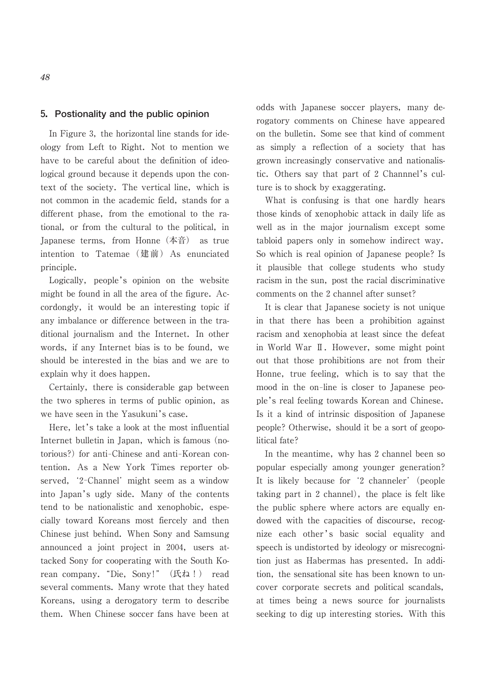# **5.Postionality and the public opinion**

 In Figure 3, the horizontal line stands for ideology from Left to Right. Not to mention we have to be careful about the definition of ideological ground because it depends upon the context of the society. The vertical line, which is not common in the academic field, stands for a different phase, from the emotional to the rational, or from the cultural to the political, in Japanese terms, from Honne(本音) as true intention to Tatemae (建前) As enunciated principle.

 Logically, people's opinion on the website might be found in all the area of the figure. Accordongly, it would be an interesting topic if any imbalance or difference between in the traditional journalism and the Internet. In other words, if any Internet bias is to be found, we should be interested in the bias and we are to explain why it does happen.

 Certainly, there is considerable gap between the two spheres in terms of public opinion, as we have seen in the Yasukuni's case.

 Here, let's take a look at the most influential Internet bulletin in Japan, which is famous (notorious?) for anti-Chinese and anti-Korean contention. As a New York Times reporter observed, '2-Channel' might seem as a window into Japan's ugly side. Many of the contents tend to be nationalistic and xenophobic, especially toward Koreans most fiercely and then Chinese just behind. When Sony and Samsung announced a joint project in 2004, users attacked Sony for cooperating with the South Korean company. "Die, Sony!" (氏ね!) read several comments. Many wrote that they hated Koreans, using a derogatory term to describe them. When Chinese soccer fans have been at odds with Japanese soccer players, many derogatory comments on Chinese have appeared on the bulletin. Some see that kind of comment as simply a reflection of a society that has grown increasingly conservative and nationalistic. Others say that part of 2 Channnel's culture is to shock by exaggerating.

 What is confusing is that one hardly hears those kinds of xenophobic attack in daily life as well as in the major journalism except some tabloid papers only in somehow indirect way. So which is real opinion of Japanese people? Is it plausible that college students who study racism in the sun, post the racial discriminative comments on the 2 channel after sunset?

 It is clear that Japanese society is not unique in that there has been a prohibition against racism and xenophobia at least since the defeat in World War Ⅱ. However, some might point out that those prohibitions are not from their Honne, true feeling, which is to say that the mood in the on-line is closer to Japanese people's real feeling towards Korean and Chinese. Is it a kind of intrinsic disposition of Japanese people? Otherwise, should it be a sort of geopolitical fate?

 In the meantime, why has 2 channel been so popular especially among younger generation? It is likely because for '2 channeler' (people taking part in 2 channel), the place is felt like the public sphere where actors are equally endowed with the capacities of discourse, recognize each other's basic social equality and speech is undistorted by ideology or misrecognition just as Habermas has presented. In addition, the sensational site has been known to uncover corporate secrets and political scandals, at times being a news source for journalists seeking to dig up interesting stories. With this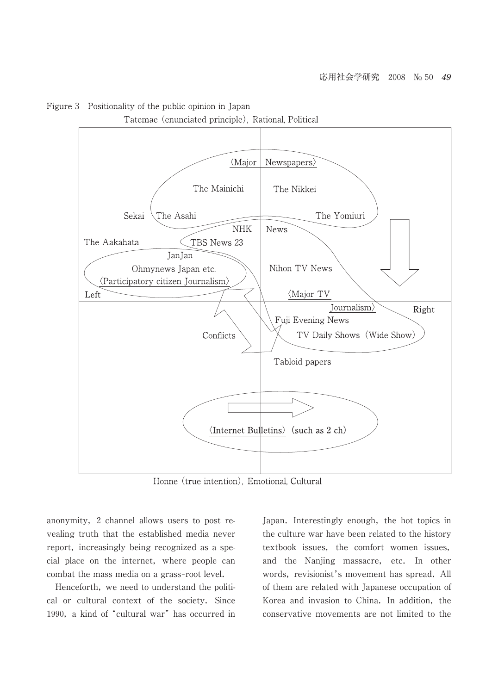

Figure 3 Positionality of the public opinion in Japan

Honne (true intention). Emotional, Cultural

anonymity, 2 channel allows users to post revealing truth that the established media never report, increasingly being recognized as a special place on the internet, where people can combat the mass media on a grass-root level.

 Henceforth, we need to understand the political or cultural context of the society. Since 1990, a kind of "cultural war" has occurred in Japan. Interestingly enough, the hot topics in the culture war have been related to the history textbook issues, the comfort women issues, and the Nanjing massacre, etc. In other words, revisionist's movement has spread. All of them are related with Japanese occupation of Korea and invasion to China. In addition, the conservative movements are not limited to the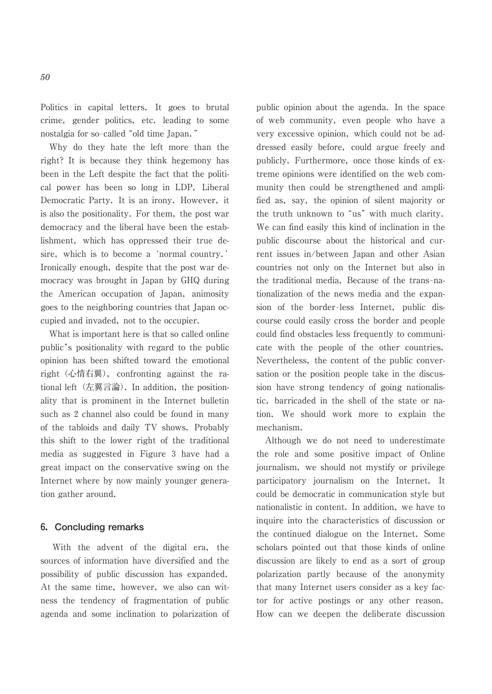Politics in capital letters. It goes to brutal crime, gender politics, etc. leading to some nostalgia for so-called "old time Japan."

 Why do they hate the left more than the right? It is because they think hegemony has been in the Left despite the fact that the political power has been so long in LDP, Liberal Democratic Party. It is an irony. However, it is also the positionality. For them, the post war democracy and the liberal have been the establishment, which has oppressed their true desire, which is to become a 'normal country.' Ironically enough, despite that the post war democracy was brought in Japan by GHQ during the American occupation of Japan, animosity goes to the neighboring countries that Japan occupied and invaded, not to the occupier.

 What is important here is that so called online public's positionality with regard to the public opinion has been shifted toward the emotional right(心情右翼), confronting against the rational left (左翼言論). In addition, the positionality that is prominent in the Internet bulletin such as 2 channel also could be found in many of the tabloids and daily TV shows. Probably this shift to the lower right of the traditional media as suggested in Figure 3 have had a great impact on the conservative swing on the Internet where by now mainly younger generation gather around.

## **6.Concluding remarks**

 With the advent of the digital era, the sources of information have diversified and the possibility of public discussion has expanded. At the same time, however, we also can witness the tendency of fragmentation of public agenda and some inclination to polarization of public opinion about the agenda. In the space of web community, even people who have a very excessive opinion, which could not be addressed easily before, could argue freely and publicly. Furthermore, once those kinds of extreme opinions were identified on the web community then could be strengthened and amplified as, say, the opinion of silent majority or the truth unknown to "us" with much clarity. We can find easily this kind of inclination in the public discourse about the historical and current issues in/between Japan and other Asian countries not only on the Internet but also in the traditional media. Because of the trans-nationalization of the news media and the expansion of the border-less Internet, public discourse could easily cross the border and people could find obstacles less frequently to communicate with the people of the other countries. Nevertheless, the content of the public conversation or the position people take in the discussion have strong tendency of going nationalistic, barricaded in the shell of the state or nation. We should work more to explain the mechanism.

 Although we do not need to underestimate the role and some positive impact of Online journalism, we should not mystify or privilege participatory journalism on the Internet. It could be democratic in communication style but nationalistic in content. In addition, we have to inquire into the characteristics of discussion or the continued dialogue on the Internet. Some scholars pointed out that those kinds of online discussion are likely to end as a sort of group polarization partly because of the anonymity that many Internet users consider as a key factor for active postings or any other reason. How can we deepen the deliberate discussion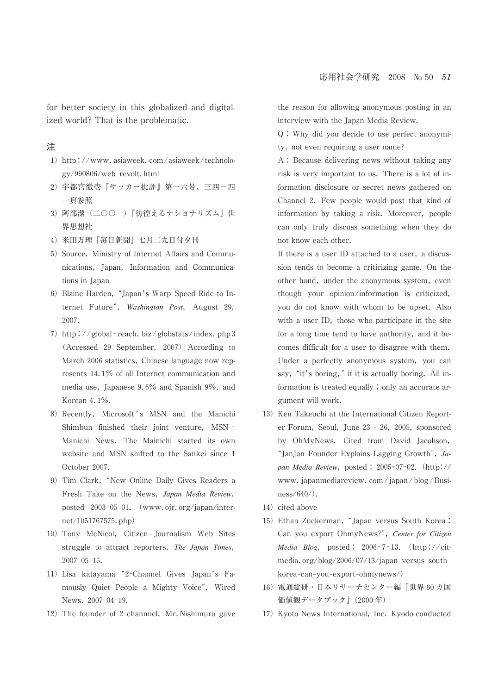for better society in this globalized and digitalized world? That is the problematic.

- 1) http://www.asiaweek.com/asiaweek/technology/990806/web\_revolt.html
- 2) 宇都宮徹壱『サッカー批評』第一六号、三四一四 一頁参照
- 3) 阿部潔(二〇〇一)『彷徨えるナショナリズム』世 界思想社
- 4) 米田万理『毎日新聞』七月二九日付夕刊
- 5) Source. Ministry of Internet Affairs and Communications, Japan, Information and Communications in Japan
- 6) Blaine Harden, "Japan's Warp-Speed Ride to Internet Future─, *Washington Post*, August 29, 2007.
- 7) http://global-reach. biz/globstats/index. php 3 (Accessed 29 September, 2007) According to March 2006 statistics, Chinese language now represents 14.1% of all Internet communication and media use, Japanese 9.6% and Spanish 9%, and Korean 4.1%.
- 8) Recently, Microsoft's MSN and the Manichi Shimbun finished their joint venture, MSN -Manichi News. The Mainichi started its own website and MSN shifted to the Sankei since 1 October 2007.
- 9) Tim Clark, "New Online Daily Gives Readers a Fresh Take on the News, *Japan Media Review*, posted 2003-05-01. (www.ojr.org/japan/internet/1051767575.php)
- 10) Tony McNicol, Citizen-Journalism Web Sites struggle to attract reporters, *The Japan Times*,  $2007 - 05 - 15$ .
- 11) Lisa katayama "2-Channel Gives Japan's Famously Quiet People a Mighty Voice", Wired News, 2007-04-19.
- 12) The founder of 2 channnel, Mr.Nishimura gave

the reason for allowing anonymous posting in an interview with the Japan Media Review.

Q : Why did you decide to use perfect anonymity, not even requiring a user name?

A : Because delivering news without taking any risk is very important to us. There is a lot of information disclosure or secret news gathered on Channel 2. Few people would post that kind of information by taking a risk. Moreover, people can only truly discuss something when they do not know each other.

If there is a user ID attached to a user, a discussion tends to become a criticizing game. On the other hand, under the anonymous system, even though your opinion/information is criticized, you do not know with whom to be upset. Also with a user ID, those who participate in the site for a long time tend to have authority, and it becomes difficult for a user to disagree with them. Under a perfectly anonymous system, you can say, "it's boring," if it is actually boring. All information is treated equally ; only an accurate argument will work.

- 13) Ken Takeuchi at the International Citizen Reporter Forum, Seoul, June  $23 - 26$ ,  $2005$ , sponsored by OhMyNews. Cited from David Jacobson, ┣JanJan Founder Explains Lagging Growth─, *Japan Media Review, posted: 2005-07-02. (http://* www. japanmediareview. com / japan / blog / Business/640/).
- 14) cited above
- 15) Ethan Zuckerman, "Japan versus South Korea : Can you export OhmyNews?─, *Center for Citizen Media Blog*, posted:  $2006 - 7 - 13$ . (http://citmedia.org/blog/2006/07/13/japan-versus-southkorea-can-you-export-ohmynews/)
- 16) 電通総研・日本リサーチセンター編『世界 60 カ国 価値観データブック』(2000 年)
- 17) Kyoto News International, Inc. Kyodo conducted

注